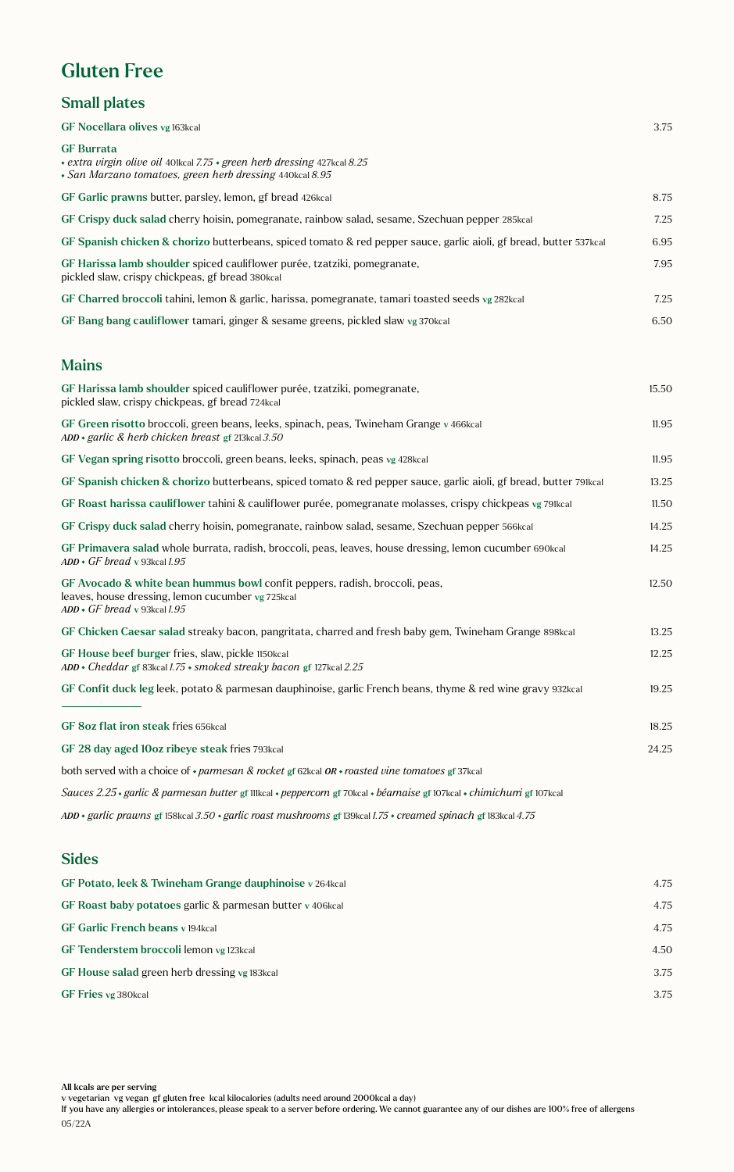## Gluten Free

#### Small plates

| GF Nocellara olives vg 163kcal                                                                                                                                         | 3.75  |
|------------------------------------------------------------------------------------------------------------------------------------------------------------------------|-------|
| <b>GF Burrata</b><br>• extra virgin olive oil 401kcal 7.75 • green herb dressing 427kcal 8.25<br>• San Marzano tomatoes, green herb dressing 440kcal 8.95              |       |
| GF Garlic prawns butter, parsley, lemon, gf bread 426kcal                                                                                                              | 8.75  |
| GF Crispy duck salad cherry hoisin, pomegranate, rainbow salad, sesame, Szechuan pepper 285kcal                                                                        | 7.25  |
| GF Spanish chicken & chorizo butterbeans, spiced tomato & red pepper sauce, garlic aioli, gf bread, butter 537kcal                                                     | 6.95  |
| GF Harissa lamb shoulder spiced cauliflower purée, tzatziki, pomegranate,<br>pickled slaw, crispy chickpeas, gf bread 380kcal                                          | 7.95  |
| GF Charred broccoli tahini, lemon & garlic, harissa, pomegranate, tamari toasted seeds vg 282kcal                                                                      | 7.25  |
| GF Bang bang cauliflower tamari, ginger & sesame greens, pickled slaw vg 370kcal                                                                                       | 6.50  |
| <b>Mains</b>                                                                                                                                                           |       |
| GF Harissa lamb shoulder spiced cauliflower purée, tzatziki, pomegranate,<br>pickled slaw, crispy chickpeas, gf bread 724kcal                                          | 15.50 |
| GF Green risotto broccoli, green beans, leeks, spinach, peas, Twineham Grange v 466kcal<br>$ADD \cdot$ garlic & herb chicken breast gf 213kcal 3.50                    | 11.95 |
| GF Vegan spring risotto broccoli, green beans, leeks, spinach, peas vg 428kcal                                                                                         | 11.95 |
| GF Spanish chicken & chorizo butterbeans, spiced tomato & red pepper sauce, garlic aioli, gf bread, butter 791kcal                                                     | 13.25 |
| GF Roast harissa cauliflower tahini & cauliflower purée, pomegranate molasses, crispy chickpeas vg 79Ikcal                                                             | 11.50 |
| GF Crispy duck salad cherry hoisin, pomegranate, rainbow salad, sesame, Szechuan pepper 566kcal                                                                        | 14.25 |
| GF Primavera salad whole burrata, radish, broccoli, peas, leaves, house dressing, lemon cucumber 690kcal<br>$ADD \cdot GF$ bread v 93kcal 1.95                         | 14.25 |
| GF Avocado & white bean hummus bowl confit peppers, radish, broccoli, peas,<br>leaves, house dressing, lemon cucumber vg 725kcal<br>$ADD \cdot GF$ bread v 93kcal 1.95 | 12.50 |
| GF Chicken Caesar salad streaky bacon, pangritata, charred and fresh baby gem, Twineham Grange 898kcal                                                                 | 13.25 |
| GF House beef burger fries, slaw, pickle 1150kcal<br>ADD • Cheddar gf 83kcal 1.75 • smoked streaky bacon gf 127kcal 2.25                                               | 12.25 |
| GF Confit duck leg leek, potato & parmesan dauphinoise, garlic French beans, thyme & red wine gravy 932kcal                                                            | 19.25 |
| GF 8oz flat iron steak fries 656kcal                                                                                                                                   | 18.25 |
| GF 28 day aged 10oz ribeye steak fries 793kcal                                                                                                                         | 24.25 |
| both served with a choice of $\cdot$ parmesan & rocket gf 62kcal OR $\cdot$ roasted vine tomatoes gf 37kcal                                                            |       |
| Sauces 2.25 · garlic & parmesan butter gf 111kcal · peppercorn gf 70kcal · béarnaise gf 107kcal · chimichurri gf 107kcal                                               |       |
| ADD • garlic prawns gf 158kcal 3.50 • garlic roast mushrooms gf 139kcal 1.75 • creamed spinach gf 183kcal 4.75                                                         |       |
| <b>Sides</b>                                                                                                                                                           |       |

### GF Potato, leek & Twineham Grange dauphinoise v 264kcal 4.75 GF Roast baby potatoes garlic & parmesan butter v 406kcal 4.75 GF Garlic French beans v 194kcal 4.75 GF Tenderstem broccoli lemon vg 123kcal 4.50 GF House salad green herb dressing vg 183kcal 3.75 GF Fries vg 380kcal 3.75

All kcals are per serving

v vegetarian vg vegan gf gluten free kcal kilocalories (adults need around 2000kcal a day)

If you have any allergies or intolerances, please speak to a server before ordering. We cannot guarantee any of our dishes are 100% free of allergens 05/22A